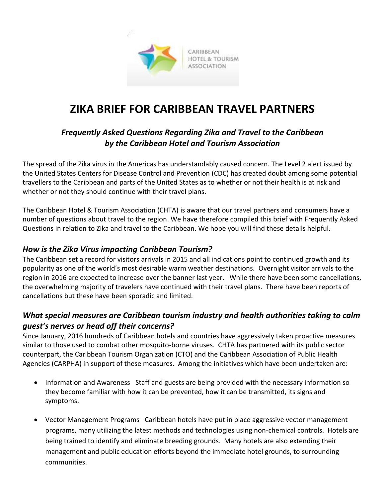

# **ZIKA BRIEF FOR CARIBBEAN TRAVEL PARTNERS**

## *Frequently Asked Questions Regarding Zika and Travel to the Caribbean by the Caribbean Hotel and Tourism Association*

The spread of the Zika virus in the Americas has understandably caused concern. The Level 2 alert issued by the United States Centers for Disease Control and Prevention (CDC) has created doubt among some potential travellers to the Caribbean and parts of the United States as to whether or not their health is at risk and whether or not they should continue with their travel plans.

The Caribbean Hotel & Tourism Association (CHTA) is aware that our travel partners and consumers have a number of questions about travel to the region. We have therefore compiled this brief with Frequently Asked Questions in relation to Zika and travel to the Caribbean. We hope you will find these details helpful.

#### *How is the Zika Virus impacting Caribbean Tourism?*

The Caribbean set a record for visitors arrivals in 2015 and all indications point to continued growth and its popularity as one of the world's most desirable warm weather destinations. Overnight visitor arrivals to the region in 2016 are expected to increase over the banner last year. While there have been some cancellations, the overwhelming majority of travelers have continued with their travel plans. There have been reports of cancellations but these have been sporadic and limited.

### *What special measures are Caribbean tourism industry and health authorities taking to calm guest's nerves or head off their concerns?*

Since January, 2016 hundreds of Caribbean hotels and countries have aggressively taken proactive measures similar to those used to combat other mosquito-borne viruses. CHTA has partnered with its public sector counterpart, the Caribbean Tourism Organization (CTO) and the Caribbean Association of Public Health Agencies (CARPHA) in support of these measures. Among the initiatives which have been undertaken are:

- Information and Awareness Staff and guests are being provided with the necessary information so they become familiar with how it can be prevented, how it can be transmitted, its signs and symptoms.
- Vector Management Programs Caribbean hotels have put in place aggressive vector management programs, many utilizing the latest methods and technologies using non-chemical controls. Hotels are being trained to identify and eliminate breeding grounds. Many hotels are also extending their management and public education efforts beyond the immediate hotel grounds, to surrounding communities.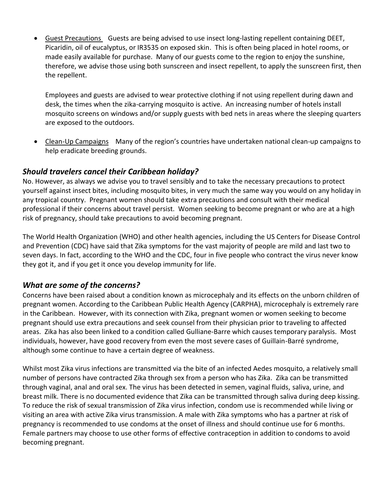Guest Precautions Guests are being advised to use insect long-lasting repellent containing DEET, Picaridin, oil of eucalyptus, or IR3535 on exposed skin. This is often being placed in hotel rooms, or made easily available for purchase. Many of our guests come to the region to enjoy the sunshine, therefore, we advise those using both sunscreen and insect repellent, to apply the sunscreen first, then the repellent.

Employees and guests are advised to wear protective clothing if not using repellent during dawn and desk, the times when the zika-carrying mosquito is active. An increasing number of hotels install mosquito screens on windows and/or supply guests with bed nets in areas where the sleeping quarters are exposed to the outdoors.

• Clean-Up Campaigns Many of the region's countries have undertaken national clean-up campaigns to help eradicate breeding grounds.

#### *Should travelers cancel their Caribbean holiday?*

No. However, as always we advise you to travel sensibly and to take the necessary precautions to protect yourself against insect bites, including mosquito bites, in very much the same way you would on any holiday in any tropical country. Pregnant women should take extra precautions and consult with their medical professional if their concerns about travel persist. Women seeking to become pregnant or who are at a high risk of pregnancy, should take precautions to avoid becoming pregnant.

The World Health Organization (WHO) and other health agencies, including the US Centers for Disease Control and Prevention (CDC) have said that Zika symptoms for the vast majority of people are mild and last two to seven days. In fact, according to the WHO and the CDC, four in five people who contract the virus never know they got it, and if you get it once you develop immunity for life.

#### *What are some of the concerns?*

Concerns have been raised about a condition known as microcephaly and its effects on the unborn children of pregnant women. According to the Caribbean Public Health Agency (CARPHA), microcephaly is extremely rare in the Caribbean. However, with its connection with Zika, pregnant women or women seeking to become pregnant should use extra precautions and seek counsel from their physician prior to traveling to affected areas. Zika has also been linked to a condition called Gulliane-Barre which causes temporary paralysis. Most individuals, however, have good recovery from even the most severe cases of Guillain-Barré syndrome, although some continue to have a certain degree of weakness.

Whilst most Zika virus infections are transmitted via the bite of an infected Aedes mosquito, a relatively small number of persons have contracted Zika through sex from a person who has Zika. Zika can be transmitted through vaginal, anal and oral sex. The virus has been detected in semen, vaginal fluids, saliva, urine, and breast milk. There is no documented evidence that Zika can be transmitted through saliva during deep kissing. To reduce the risk of sexual transmission of Zika virus infection, condom use is recommended while living or visiting an area with active Zika virus transmission. A male with Zika symptoms who has a partner at risk of pregnancy is recommended to use condoms at the onset of illness and should continue use for 6 months. Female partners may choose to use other forms of effective contraception in addition to condoms to avoid becoming pregnant.